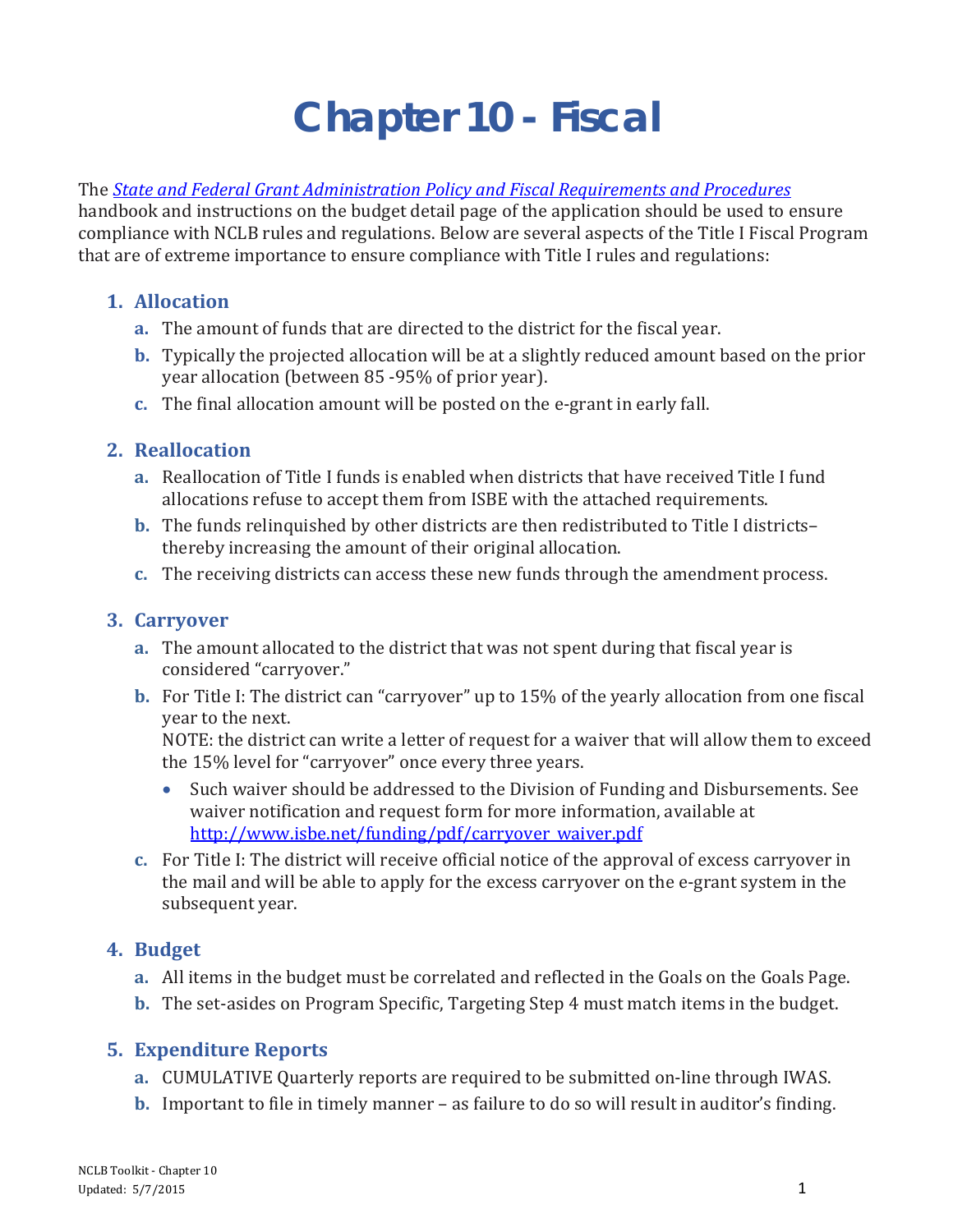# **Chapter 10 - Fiscal**

The *[State and Federal Grant Administration Policy and Fiscal Requirements and Procedures](http://www.isbe.net/funding/pdf/fiscal_procedure_handbk.pdf)*

handbook and instructions on the budget detail page of the application should be used to ensure compliance with NCLB rules and regulations. Below are several aspects of the Title I Fiscal Program that are of extreme importance to ensure compliance with Title I rules and regulations:

## **1. Allocation**

- **a.** The amount of funds that are directed to the district for the fiscal year.
- **b.** Typically the projected allocation will be at a slightly reduced amount based on the prior year allocation (between 85 -95% of prior year).
- **c.** The final allocation amount will be posted on the e-grant in early fall.

## **2. Reallocation**

- **a.** Reallocation of Title I funds is enabled when districts that have received Title I fund allocations refuse to accept them from ISBE with the attached requirements.
- **b.** The funds relinquished by other districts are then redistributed to Title I districts– thereby increasing the amount of their original allocation.
- **c.** The receiving districts can access these new funds through the amendment process.

#### **3. Carryover**

- **a.** The amount allocated to the district that was not spent during that fiscal year is considered "carryover."
- **b.** For Title I: The district can "carryover" up to 15% of the yearly allocation from one fiscal year to the next.

NOTE: the district can write a letter of request for a waiver that will allow them to exceed the 15% level for "carryover" once every three years.

- Such waiver should be addressed to the Division of Funding and Disbursements. See waiver notification and request form for more information, available at [http://www.isbe.net/funding/pdf/carryover\\_waiver.pdf](http://www.isbe.net/funding/pdf/carryover_waiver.pdf)
- **c.** For Title I: The district will receive official notice of the approval of excess carryover in the mail and will be able to apply for the excess carryover on the e-grant system in the subsequent year.

#### **4. Budget**

- **a.** All items in the budget must be correlated and reflected in the Goals on the Goals Page.
- **b.** The set-asides on Program Specific, Targeting Step 4 must match items in the budget.

# **5. Expenditure Reports**

- **a.** CUMULATIVE Quarterly reports are required to be submitted on-line through IWAS.
- **b.** Important to file in timely manner as failure to do so will result in auditor's finding.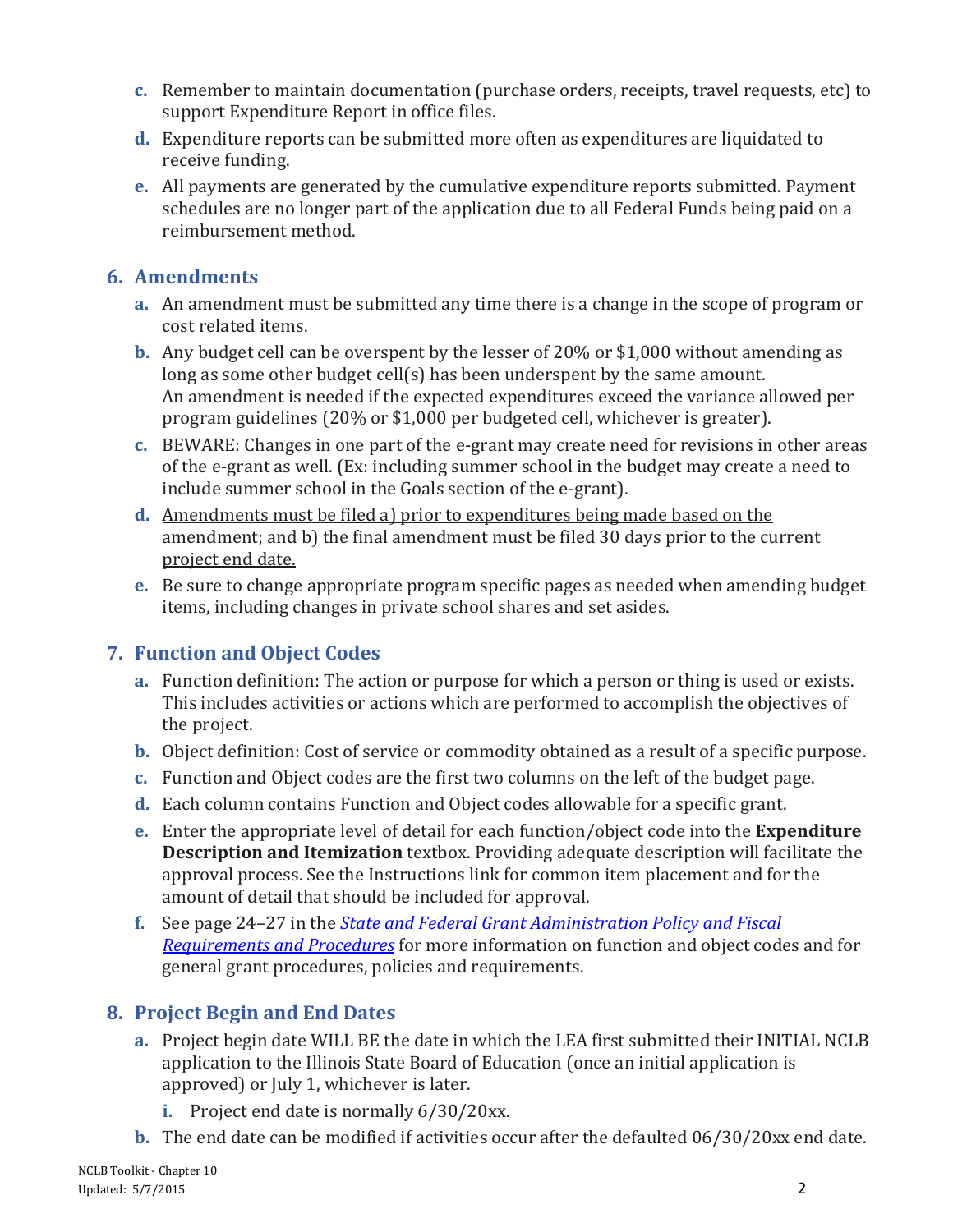- **c.** Remember to maintain documentation (purchase orders, receipts, travel requests, etc) to support Expenditure Report in office files.
- **d.** Expenditure reports can be submitted more often as expenditures are liquidated to receive funding.
- **e.** All payments are generated by the cumulative expenditure reports submitted. Payment schedules are no longer part of the application due to all Federal Funds being paid on a reimbursement method.

#### **6. Amendments**

- **a.** An amendment must be submitted any time there is a change in the scope of program or cost related items.
- **b.** Any budget cell can be overspent by the lesser of 20% or \$1,000 without amending as long as some other budget cell(s) has been underspent by the same amount. An amendment is needed if the expected expenditures exceed the variance allowed per program guidelines (20% or \$1,000 per budgeted cell, whichever is greater).
- **c.** BEWARE: Changes in one part of the e-grant may create need for revisions in other areas of the e-grant as well. (Ex: including summer school in the budget may create a need to include summer school in the Goals section of the e-grant).
- **d.** Amendments must be filed a) prior to expenditures being made based on the amendment; and b) the final amendment must be filed 30 days prior to the current project end date.
- **e.** Be sure to change appropriate program specific pages as needed when amending budget items, including changes in private school shares and set asides.

#### **7. Function and Object Codes**

- **a.** Function definition: The action or purpose for which a person or thing is used or exists. This includes activities or actions which are performed to accomplish the objectives of the project.
- **b.** Object definition: Cost of service or commodity obtained as a result of a specific purpose.
- **c.** Function and Object codes are the first two columns on the left of the budget page.
- **d.** Each column contains Function and Object codes allowable for a specific grant.
- **e.** Enter the appropriate level of detail for each function/object code into the **Expenditure Description and Itemization** textbox. Providing adequate description will facilitate the approval process. See the Instructions link for common item placement and for the amount of detail that should be included for approval.
- **f.** See page 24–27 in the *[State and Federal Grant Administration Policy and Fiscal](http://www.isbe.net/funding/pdf/fiscal_procedure_handbk.pdf)  Requirements [and Procedures](http://www.isbe.net/funding/pdf/fiscal_procedure_handbk.pdf)* for more information on function and object codes and for general grant procedures, policies and requirements.

# **8. Project Begin and End Dates**

- **a.** Project begin date WILL BE the date in which the LEA first submitted their INITIAL NCLB application to the Illinois State Board of Education (once an initial application is approved) or July 1, whichever is later.
	- **i.** Project end date is normally 6/30/20xx.
- **b.** The end date can be modified if activities occur after the defaulted 06/30/20xx end date.